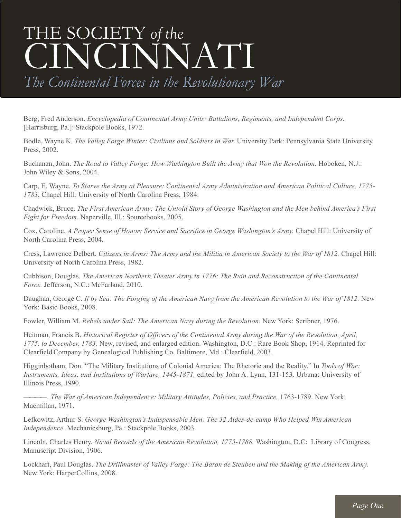## THE SOCIETY *of the* CINCINNATI

*The Continental Forces in the Revolutionary War*

Berg, Fred Anderson. *Encyclopedia of Continental Army Units: Battalions, Regiments, and Independent Corps.* [Harrisburg, Pa.]: Stackpole Books, 1972.

Bodle, Wayne K. *The Valley Forge Winter: Civilians and Soldiers in War.* University Park: Pennsylvania State University Press, 2002.

Buchanan, John. *The Road to Valley Forge: How Washington Built the Army that Won the Revolution.* Hoboken, N.J.: John Wiley & Sons, 2004.

Carp, E. Wayne. *To Starve the Army at Pleasure: Continental Army Administration and American Political Culture, 1775- 1783*. Chapel Hill: University of North Carolina Press, 1984.

Chadwick, Bruce. The First American Army: The Untold Story of George Washington and the Men behind America's First *Fight for Freedom.* Naperville, Ill.: Sourcebooks, 2005.

Cox, Caroline. *A Proper Sense of Honor: Service and Sacrifice in George Washington's Army.* Chapel Hill: University of North Carolina Press, 2004.

Cress, Lawrence Delbert. Citizens in Arms: The Army and the Militia in American Society to the War of 1812. Chapel Hill: University of North Carolina Press, 1982.

Cubbison, Douglas. *The American Northern Theater Army in 1776: The Ruin and Reconstruction of the Continental Force.* Jefferson, N.C.: McFarland, 2010.

Daughan, George C. If by Sea: The Forging of the American Navy from the American Revolution to the War of 1812. New York: Basic Books, 2008.

Fowler, William M. *Rebels under Sail: The American Navy during the Revolution.* New York: Scribner, 1976.

Heitman, Francis B. *Historical Register of Officers of the Continental Army during the War of the Revolution, April, 1775, to December, 1783.* New, revised, and enlarged edition. Washington, D.C.: Rare Book Shop, 1914. Reprinted for Clearfield Company by Genealogical Publishing Co. Baltimore, Md.: Clearfield, 2003.

Higginbotham, Don. "The Military Institutions of Colonial America: The Rhetoric and the Reality." In *Tools of War: Instruments, Ideas, and Institutions of Warfare, 1445-1871,* edited by John A. Lynn, 131-153. Urbana: University of Illinois Press, 1990.

————. *The War of American Independence: Military Attitudes, Policies, and Practice,* 1763-1789. New York: Macmillan, 1971.

Lefkowitz, Arthur S. *George Washington's Indispensable Men: The 32 Aides-de-camp Who Helped Win American Independence.* Mechanicsburg, Pa.: Stackpole Books, 2003.

Lincoln, Charles Henry. *Naval Records of the American Revolution, 1775-1788.* Washington, D.C: Library of Congress, Manuscript Division, 1906.

Lockhart, Paul Douglas. The Drillmaster of Valley Forge: The Baron de Steuben and the Making of the American Army. New York: HarperCollins, 2008.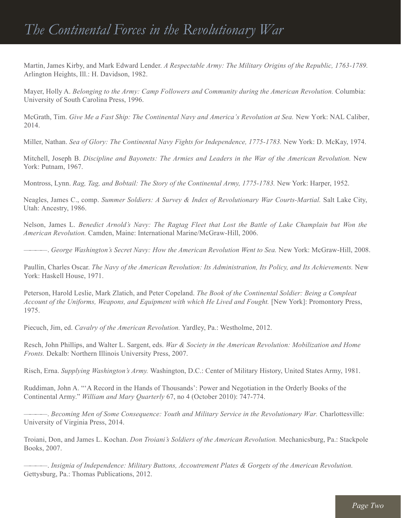Martin, James Kirby, and Mark Edward Lender. *A Respectable Army: The Military Origins of the Republic, 1763-1789.* Arlington Heights, Ill.: H. Davidson, 1982.

Mayer, Holly A. *Belonging to the Army: Camp Followers and Community during the American Revolution.* Columbia: University of South Carolina Press, 1996.

McGrath, Tim. *Give Me a Fast Ship: The Continental Navy and America's Revolution at Sea.* New York: NAL Caliber, 2014.

Miller, Nathan. *Sea of Glory: The Continental Navy Fights for Independence, 1775-1783.* New York: D. McKay, 1974.

Mitchell, Joseph B. *Discipline and Bayonets: The Armies and Leaders in the War of the American Revolution.* New York: Putnam, 1967.

Montross, Lynn. *Rag, Tag, and Bobtail: The Story of the Continental Army, 1775-1783.* New York: Harper, 1952.

Neagles, James C., comp. *Summer Soldiers: A Survey & Index of Revolutionary War Courts-Martial.* Salt Lake City, Utah: Ancestry, 1986.

Nelson, James L. *Benedict Arnold's Navy: The Ragtag Fleet that Lost the Battle of Lake Champlain but Won the American Revolution.* Camden, Maine: International Marine/McGraw-Hill, 2006.

————. *George Washington's Secret Navy: How the American Revolution Went to Sea.* New York: McGraw-Hill, 2008.

Paullin, Charles Oscar. *The Navy of the American Revolution: Its Administration, Its Policy, and Its Achievements.* New York: Haskell House, 1971.

Peterson, Harold Leslie, Mark Zlatich, and Peter Copeland. *The Book of the Continental Soldier: Being a Compleat Account of the Uniforms, Weapons, and Equipment with which He Lived and Fought.* [New York]: Promontory Press, 1975.

Piecuch, Jim, ed. *Cavalry of the American Revolution.* Yardley, Pa.: Westholme, 2012.

Resch, John Phillips, and Walter L. Sargent, eds. *War & Society in the American Revolution: Mobilization and Home Fronts.* Dekalb: Northern Illinois University Press, 2007.

Risch, Erna. *Supplying Washington's Army.* Washington, D.C.: Center of Military History, United States Army, 1981.

Ruddiman, John A. "'A Record in the Hands of Thousands': Power and Negotiation in the Orderly Books of the Continental Army." *William and Mary Quarterly* 67, no 4 (October 2010): 747-774.

————. *Becoming Men of Some Consequence: Youth and Military Service in the Revolutionary War.* Charlottesville: University of Virginia Press, 2014.

Troiani, Don, and James L. Kochan. *Don Troiani's Soldiers of the American Revolution.* Mechanicsburg, Pa.: Stackpole Books, 2007.

————. *Insignia of Independence: Military Buttons, Accoutrement Plates & Gorgets of the American Revolution.* Gettysburg, Pa.: Thomas Publications, 2012.